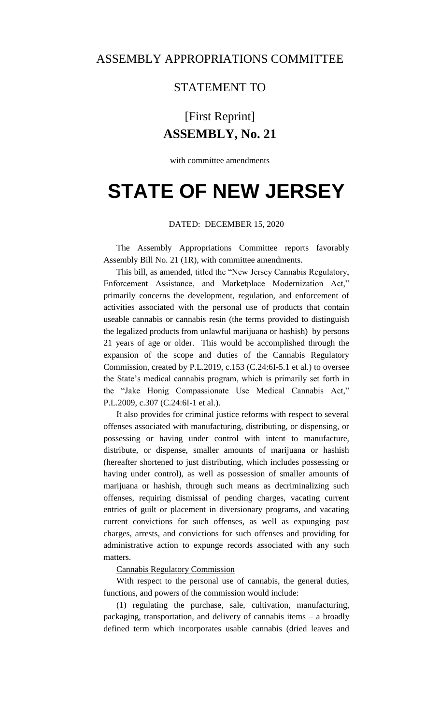### STATEMENT TO

## [First Reprint] **ASSEMBLY, No. 21**

with committee amendments

# **STATE OF NEW JERSEY**

#### DATED: DECEMBER 15, 2020

The Assembly Appropriations Committee reports favorably Assembly Bill No. 21 (1R), with committee amendments.

This bill, as amended, titled the "New Jersey Cannabis Regulatory, Enforcement Assistance, and Marketplace Modernization Act," primarily concerns the development, regulation, and enforcement of activities associated with the personal use of products that contain useable cannabis or cannabis resin (the terms provided to distinguish the legalized products from unlawful marijuana or hashish) by persons 21 years of age or older. This would be accomplished through the expansion of the scope and duties of the Cannabis Regulatory Commission, created by P.L.2019, c.153 (C.24:6I-5.1 et al.) to oversee the State's medical cannabis program, which is primarily set forth in the "Jake Honig Compassionate Use Medical Cannabis Act," P.L.2009, c.307 (C.24:6I-1 et al.).

It also provides for criminal justice reforms with respect to several offenses associated with manufacturing, distributing, or dispensing, or possessing or having under control with intent to manufacture, distribute, or dispense, smaller amounts of marijuana or hashish (hereafter shortened to just distributing, which includes possessing or having under control), as well as possession of smaller amounts of marijuana or hashish, through such means as decriminalizing such offenses, requiring dismissal of pending charges, vacating current entries of guilt or placement in diversionary programs, and vacating current convictions for such offenses, as well as expunging past charges, arrests, and convictions for such offenses and providing for administrative action to expunge records associated with any such matters.

#### Cannabis Regulatory Commission

With respect to the personal use of cannabis, the general duties, functions, and powers of the commission would include:

(1) regulating the purchase, sale, cultivation, manufacturing, packaging, transportation, and delivery of cannabis items – a broadly defined term which incorporates usable cannabis (dried leaves and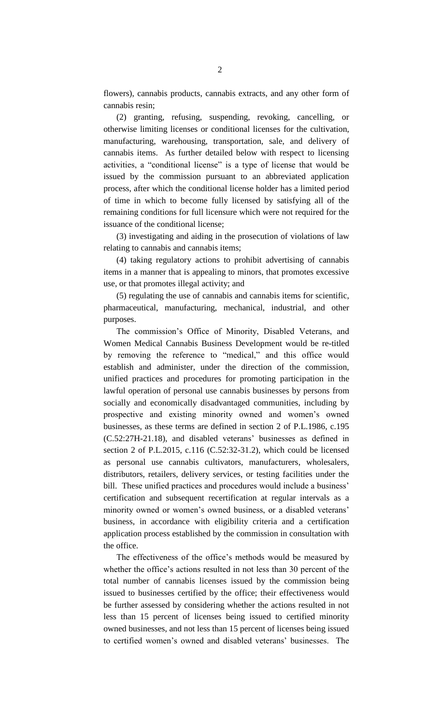flowers), cannabis products, cannabis extracts, and any other form of cannabis resin;

(2) granting, refusing, suspending, revoking, cancelling, or otherwise limiting licenses or conditional licenses for the cultivation, manufacturing, warehousing, transportation, sale, and delivery of cannabis items. As further detailed below with respect to licensing activities, a "conditional license" is a type of license that would be issued by the commission pursuant to an abbreviated application process, after which the conditional license holder has a limited period of time in which to become fully licensed by satisfying all of the remaining conditions for full licensure which were not required for the issuance of the conditional license;

(3) investigating and aiding in the prosecution of violations of law relating to cannabis and cannabis items;

(4) taking regulatory actions to prohibit advertising of cannabis items in a manner that is appealing to minors, that promotes excessive use, or that promotes illegal activity; and

(5) regulating the use of cannabis and cannabis items for scientific, pharmaceutical, manufacturing, mechanical, industrial, and other purposes.

The commission's Office of Minority, Disabled Veterans, and Women Medical Cannabis Business Development would be re-titled by removing the reference to "medical," and this office would establish and administer, under the direction of the commission, unified practices and procedures for promoting participation in the lawful operation of personal use cannabis businesses by persons from socially and economically disadvantaged communities, including by prospective and existing minority owned and women's owned businesses, as these terms are defined in section 2 of P.L.1986, c.195 (C.52:27H-21.18), and disabled veterans' businesses as defined in section 2 of P.L.2015, c.116 (C.52:32-31.2), which could be licensed as personal use cannabis cultivators, manufacturers, wholesalers, distributors, retailers, delivery services, or testing facilities under the bill. These unified practices and procedures would include a business' certification and subsequent recertification at regular intervals as a minority owned or women's owned business, or a disabled veterans' business, in accordance with eligibility criteria and a certification application process established by the commission in consultation with the office.

The effectiveness of the office's methods would be measured by whether the office's actions resulted in not less than 30 percent of the total number of cannabis licenses issued by the commission being issued to businesses certified by the office; their effectiveness would be further assessed by considering whether the actions resulted in not less than 15 percent of licenses being issued to certified minority owned businesses, and not less than 15 percent of licenses being issued to certified women's owned and disabled veterans' businesses. The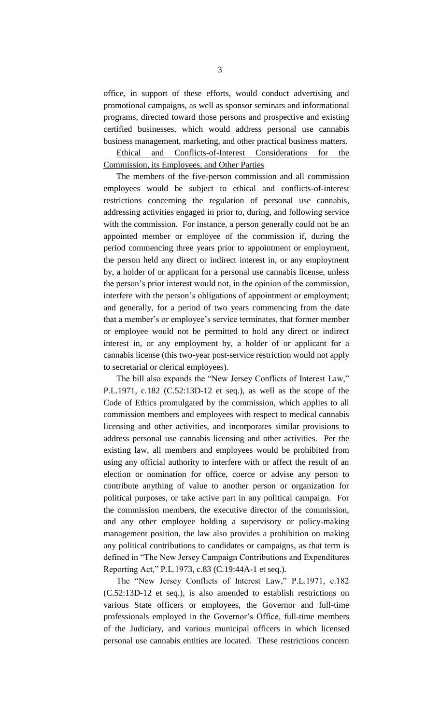office, in support of these efforts, would conduct advertising and promotional campaigns, as well as sponsor seminars and informational programs, directed toward those persons and prospective and existing certified businesses, which would address personal use cannabis business management, marketing, and other practical business matters.

Ethical and Conflicts-of-Interest Considerations for the Commission, its Employees, and Other Parties

The members of the five-person commission and all commission employees would be subject to ethical and conflicts-of-interest restrictions concerning the regulation of personal use cannabis, addressing activities engaged in prior to, during, and following service with the commission. For instance, a person generally could not be an appointed member or employee of the commission if, during the period commencing three years prior to appointment or employment, the person held any direct or indirect interest in, or any employment by, a holder of or applicant for a personal use cannabis license, unless the person's prior interest would not, in the opinion of the commission, interfere with the person's obligations of appointment or employment; and generally, for a period of two years commencing from the date that a member's or employee's service terminates, that former member or employee would not be permitted to hold any direct or indirect interest in, or any employment by, a holder of or applicant for a cannabis license (this two-year post-service restriction would not apply to secretarial or clerical employees).

The bill also expands the "New Jersey Conflicts of Interest Law," P.L.1971, c.182 (C.52:13D-12 et seq.), as well as the scope of the Code of Ethics promulgated by the commission, which applies to all commission members and employees with respect to medical cannabis licensing and other activities, and incorporates similar provisions to address personal use cannabis licensing and other activities. Per the existing law, all members and employees would be prohibited from using any official authority to interfere with or affect the result of an election or nomination for office, coerce or advise any person to contribute anything of value to another person or organization for political purposes, or take active part in any political campaign. For the commission members, the executive director of the commission, and any other employee holding a supervisory or policy-making management position, the law also provides a prohibition on making any political contributions to candidates or campaigns, as that term is defined in "The New Jersey Campaign Contributions and Expenditures Reporting Act," P.L.1973, c.83 (C.19:44A-1 et seq.).

The "New Jersey Conflicts of Interest Law," P.L.1971, c.182 (C.52:13D-12 et seq.), is also amended to establish restrictions on various State officers or employees, the Governor and full-time professionals employed in the Governor's Office, full-time members of the Judiciary, and various municipal officers in which licensed personal use cannabis entities are located. These restrictions concern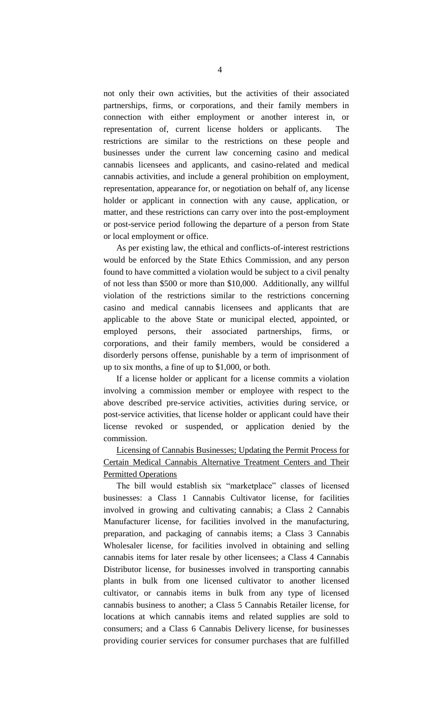not only their own activities, but the activities of their associated partnerships, firms, or corporations, and their family members in connection with either employment or another interest in, or representation of, current license holders or applicants. The restrictions are similar to the restrictions on these people and businesses under the current law concerning casino and medical cannabis licensees and applicants, and casino-related and medical cannabis activities, and include a general prohibition on employment, representation, appearance for, or negotiation on behalf of, any license holder or applicant in connection with any cause, application, or matter, and these restrictions can carry over into the post-employment or post-service period following the departure of a person from State or local employment or office.

As per existing law, the ethical and conflicts-of-interest restrictions would be enforced by the State Ethics Commission, and any person found to have committed a violation would be subject to a civil penalty of not less than \$500 or more than \$10,000. Additionally, any willful violation of the restrictions similar to the restrictions concerning casino and medical cannabis licensees and applicants that are applicable to the above State or municipal elected, appointed, or employed persons, their associated partnerships, firms, or corporations, and their family members, would be considered a disorderly persons offense, punishable by a term of imprisonment of up to six months, a fine of up to \$1,000, or both.

If a license holder or applicant for a license commits a violation involving a commission member or employee with respect to the above described pre-service activities, activities during service, or post-service activities, that license holder or applicant could have their license revoked or suspended, or application denied by the commission.

Licensing of Cannabis Businesses; Updating the Permit Process for Certain Medical Cannabis Alternative Treatment Centers and Their Permitted Operations

The bill would establish six "marketplace" classes of licensed businesses: a Class 1 Cannabis Cultivator license, for facilities involved in growing and cultivating cannabis; a Class 2 Cannabis Manufacturer license, for facilities involved in the manufacturing, preparation, and packaging of cannabis items; a Class 3 Cannabis Wholesaler license, for facilities involved in obtaining and selling cannabis items for later resale by other licensees; a Class 4 Cannabis Distributor license, for businesses involved in transporting cannabis plants in bulk from one licensed cultivator to another licensed cultivator, or cannabis items in bulk from any type of licensed cannabis business to another; a Class 5 Cannabis Retailer license, for locations at which cannabis items and related supplies are sold to consumers; and a Class 6 Cannabis Delivery license, for businesses providing courier services for consumer purchases that are fulfilled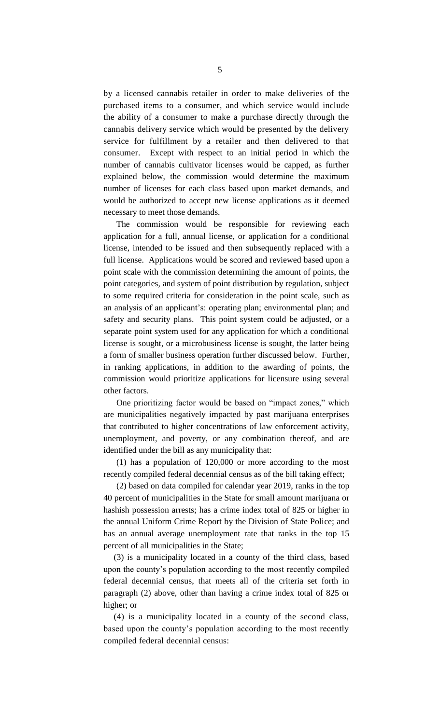by a licensed cannabis retailer in order to make deliveries of the purchased items to a consumer, and which service would include the ability of a consumer to make a purchase directly through the cannabis delivery service which would be presented by the delivery service for fulfillment by a retailer and then delivered to that consumer. Except with respect to an initial period in which the number of cannabis cultivator licenses would be capped, as further explained below, the commission would determine the maximum number of licenses for each class based upon market demands, and would be authorized to accept new license applications as it deemed necessary to meet those demands.

The commission would be responsible for reviewing each application for a full, annual license, or application for a conditional license, intended to be issued and then subsequently replaced with a full license. Applications would be scored and reviewed based upon a point scale with the commission determining the amount of points, the point categories, and system of point distribution by regulation, subject to some required criteria for consideration in the point scale, such as an analysis of an applicant's: operating plan; environmental plan; and safety and security plans. This point system could be adjusted, or a separate point system used for any application for which a conditional license is sought, or a microbusiness license is sought, the latter being a form of smaller business operation further discussed below. Further, in ranking applications, in addition to the awarding of points, the commission would prioritize applications for licensure using several other factors.

One prioritizing factor would be based on "impact zones," which are municipalities negatively impacted by past marijuana enterprises that contributed to higher concentrations of law enforcement activity, unemployment, and poverty, or any combination thereof, and are identified under the bill as any municipality that:

(1) has a population of 120,000 or more according to the most recently compiled federal decennial census as of the bill taking effect;

(2) based on data compiled for calendar year 2019, ranks in the top 40 percent of municipalities in the State for small amount marijuana or hashish possession arrests; has a crime index total of 825 or higher in the annual Uniform Crime Report by the Division of State Police; and has an annual average unemployment rate that ranks in the top 15 percent of all municipalities in the State;

(3) is a municipality located in a county of the third class, based upon the county's population according to the most recently compiled federal decennial census, that meets all of the criteria set forth in paragraph (2) above, other than having a crime index total of 825 or higher; or

(4) is a municipality located in a county of the second class, based upon the county's population according to the most recently compiled federal decennial census: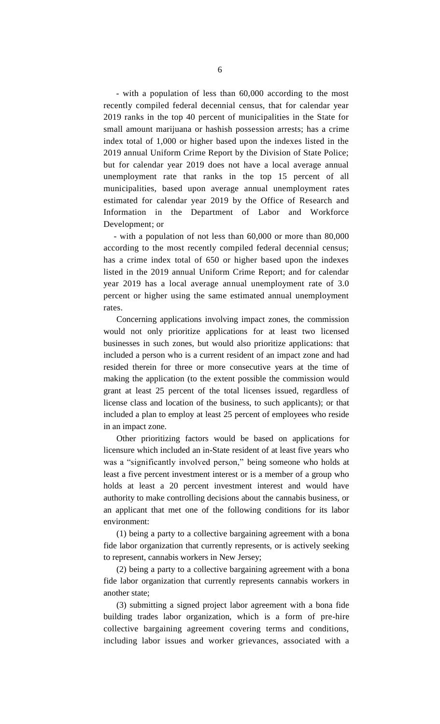- with a population of less than 60,000 according to the most recently compiled federal decennial census, that for calendar year 2019 ranks in the top 40 percent of municipalities in the State for small amount marijuana or hashish possession arrests; has a crime index total of 1,000 or higher based upon the indexes listed in the 2019 annual Uniform Crime Report by the Division of State Police; but for calendar year 2019 does not have a local average annual unemployment rate that ranks in the top 15 percent of all municipalities, based upon average annual unemployment rates estimated for calendar year 2019 by the Office of Research and Information in the Department of Labor and Workforce Development; or

- with a population of not less than 60,000 or more than 80,000 according to the most recently compiled federal decennial census; has a crime index total of 650 or higher based upon the indexes listed in the 2019 annual Uniform Crime Report; and for calendar year 2019 has a local average annual unemployment rate of 3.0 percent or higher using the same estimated annual unemployment rates.

Concerning applications involving impact zones, the commission would not only prioritize applications for at least two licensed businesses in such zones, but would also prioritize applications: that included a person who is a current resident of an impact zone and had resided therein for three or more consecutive years at the time of making the application (to the extent possible the commission would grant at least 25 percent of the total licenses issued, regardless of license class and location of the business, to such applicants); or that included a plan to employ at least 25 percent of employees who reside in an impact zone.

Other prioritizing factors would be based on applications for licensure which included an in-State resident of at least five years who was a "significantly involved person," being someone who holds at least a five percent investment interest or is a member of a group who holds at least a 20 percent investment interest and would have authority to make controlling decisions about the cannabis business, or an applicant that met one of the following conditions for its labor environment:

(1) being a party to a collective bargaining agreement with a bona fide labor organization that currently represents, or is actively seeking to represent, cannabis workers in New Jersey;

(2) being a party to a collective bargaining agreement with a bona fide labor organization that currently represents cannabis workers in another state;

(3) submitting a signed project labor agreement with a bona fide building trades labor organization, which is a form of pre-hire collective bargaining agreement covering terms and conditions, including labor issues and worker grievances, associated with a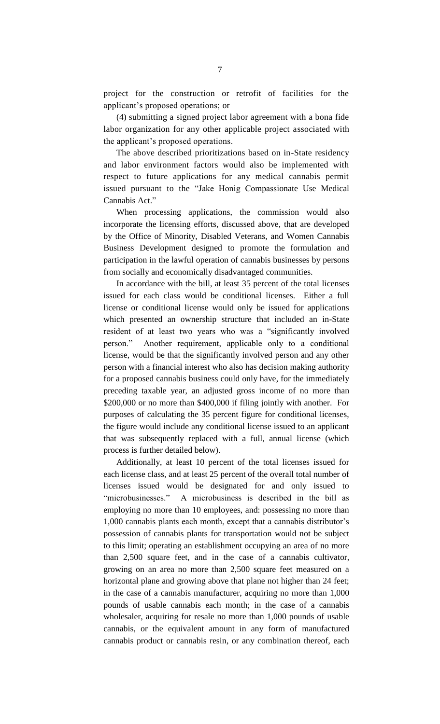project for the construction or retrofit of facilities for the applicant's proposed operations; or

(4) submitting a signed project labor agreement with a bona fide labor organization for any other applicable project associated with the applicant's proposed operations.

The above described prioritizations based on in-State residency and labor environment factors would also be implemented with respect to future applications for any medical cannabis permit issued pursuant to the "Jake Honig Compassionate Use Medical Cannabis Act."

When processing applications, the commission would also incorporate the licensing efforts, discussed above, that are developed by the Office of Minority, Disabled Veterans, and Women Cannabis Business Development designed to promote the formulation and participation in the lawful operation of cannabis businesses by persons from socially and economically disadvantaged communities.

In accordance with the bill, at least 35 percent of the total licenses issued for each class would be conditional licenses. Either a full license or conditional license would only be issued for applications which presented an ownership structure that included an in-State resident of at least two years who was a "significantly involved person." Another requirement, applicable only to a conditional license, would be that the significantly involved person and any other person with a financial interest who also has decision making authority for a proposed cannabis business could only have, for the immediately preceding taxable year, an adjusted gross income of no more than \$200,000 or no more than \$400,000 if filing jointly with another. For purposes of calculating the 35 percent figure for conditional licenses, the figure would include any conditional license issued to an applicant that was subsequently replaced with a full, annual license (which process is further detailed below).

Additionally, at least 10 percent of the total licenses issued for each license class, and at least 25 percent of the overall total number of licenses issued would be designated for and only issued to "microbusinesses." A microbusiness is described in the bill as employing no more than 10 employees, and: possessing no more than 1,000 cannabis plants each month, except that a cannabis distributor's possession of cannabis plants for transportation would not be subject to this limit; operating an establishment occupying an area of no more than 2,500 square feet, and in the case of a cannabis cultivator, growing on an area no more than 2,500 square feet measured on a horizontal plane and growing above that plane not higher than 24 feet; in the case of a cannabis manufacturer, acquiring no more than 1,000 pounds of usable cannabis each month; in the case of a cannabis wholesaler, acquiring for resale no more than 1,000 pounds of usable cannabis, or the equivalent amount in any form of manufactured cannabis product or cannabis resin, or any combination thereof, each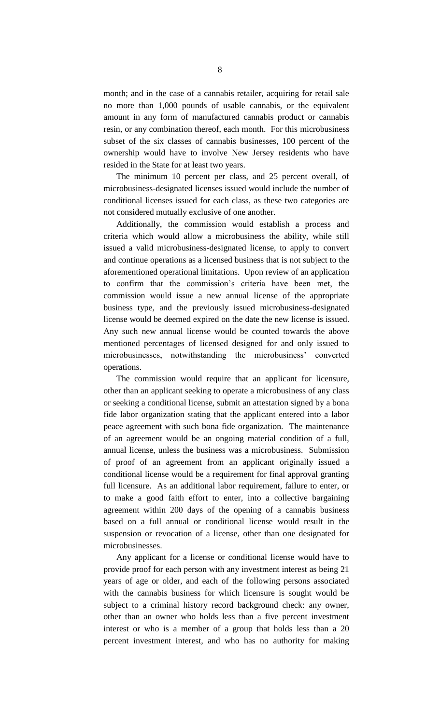month; and in the case of a cannabis retailer, acquiring for retail sale no more than 1,000 pounds of usable cannabis, or the equivalent amount in any form of manufactured cannabis product or cannabis resin, or any combination thereof, each month. For this microbusiness subset of the six classes of cannabis businesses, 100 percent of the ownership would have to involve New Jersey residents who have resided in the State for at least two years.

The minimum 10 percent per class, and 25 percent overall, of microbusiness-designated licenses issued would include the number of conditional licenses issued for each class, as these two categories are not considered mutually exclusive of one another.

Additionally, the commission would establish a process and criteria which would allow a microbusiness the ability, while still issued a valid microbusiness-designated license, to apply to convert and continue operations as a licensed business that is not subject to the aforementioned operational limitations. Upon review of an application to confirm that the commission's criteria have been met, the commission would issue a new annual license of the appropriate business type, and the previously issued microbusiness-designated license would be deemed expired on the date the new license is issued. Any such new annual license would be counted towards the above mentioned percentages of licensed designed for and only issued to microbusinesses, notwithstanding the microbusiness' converted operations.

The commission would require that an applicant for licensure, other than an applicant seeking to operate a microbusiness of any class or seeking a conditional license, submit an attestation signed by a bona fide labor organization stating that the applicant entered into a labor peace agreement with such bona fide organization. The maintenance of an agreement would be an ongoing material condition of a full, annual license, unless the business was a microbusiness. Submission of proof of an agreement from an applicant originally issued a conditional license would be a requirement for final approval granting full licensure. As an additional labor requirement, failure to enter, or to make a good faith effort to enter, into a collective bargaining agreement within 200 days of the opening of a cannabis business based on a full annual or conditional license would result in the suspension or revocation of a license, other than one designated for microbusinesses.

Any applicant for a license or conditional license would have to provide proof for each person with any investment interest as being 21 years of age or older, and each of the following persons associated with the cannabis business for which licensure is sought would be subject to a criminal history record background check: any owner, other than an owner who holds less than a five percent investment interest or who is a member of a group that holds less than a 20 percent investment interest, and who has no authority for making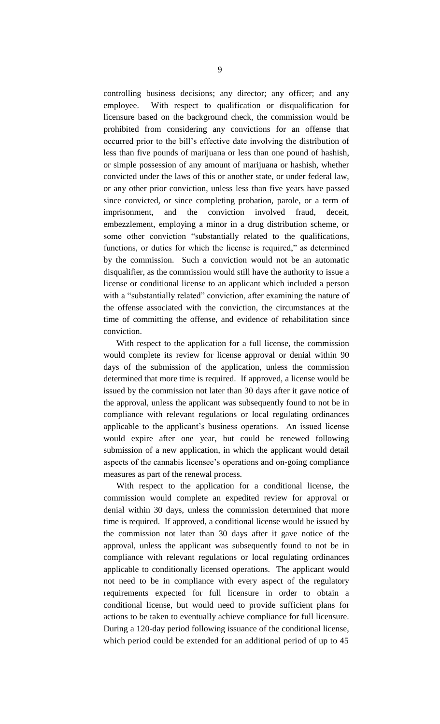controlling business decisions; any director; any officer; and any employee. With respect to qualification or disqualification for licensure based on the background check, the commission would be prohibited from considering any convictions for an offense that occurred prior to the bill's effective date involving the distribution of less than five pounds of marijuana or less than one pound of hashish, or simple possession of any amount of marijuana or hashish, whether convicted under the laws of this or another state, or under federal law, or any other prior conviction, unless less than five years have passed since convicted, or since completing probation, parole, or a term of imprisonment, and the conviction involved fraud, deceit, embezzlement, employing a minor in a drug distribution scheme, or some other conviction "substantially related to the qualifications, functions, or duties for which the license is required," as determined by the commission. Such a conviction would not be an automatic disqualifier, as the commission would still have the authority to issue a license or conditional license to an applicant which included a person with a "substantially related" conviction, after examining the nature of the offense associated with the conviction, the circumstances at the time of committing the offense, and evidence of rehabilitation since conviction.

With respect to the application for a full license, the commission would complete its review for license approval or denial within 90 days of the submission of the application, unless the commission determined that more time is required. If approved, a license would be issued by the commission not later than 30 days after it gave notice of the approval, unless the applicant was subsequently found to not be in compliance with relevant regulations or local regulating ordinances applicable to the applicant's business operations. An issued license would expire after one year, but could be renewed following submission of a new application, in which the applicant would detail aspects of the cannabis licensee's operations and on-going compliance measures as part of the renewal process.

With respect to the application for a conditional license, the commission would complete an expedited review for approval or denial within 30 days, unless the commission determined that more time is required. If approved, a conditional license would be issued by the commission not later than 30 days after it gave notice of the approval, unless the applicant was subsequently found to not be in compliance with relevant regulations or local regulating ordinances applicable to conditionally licensed operations. The applicant would not need to be in compliance with every aspect of the regulatory requirements expected for full licensure in order to obtain a conditional license, but would need to provide sufficient plans for actions to be taken to eventually achieve compliance for full licensure. During a 120-day period following issuance of the conditional license, which period could be extended for an additional period of up to 45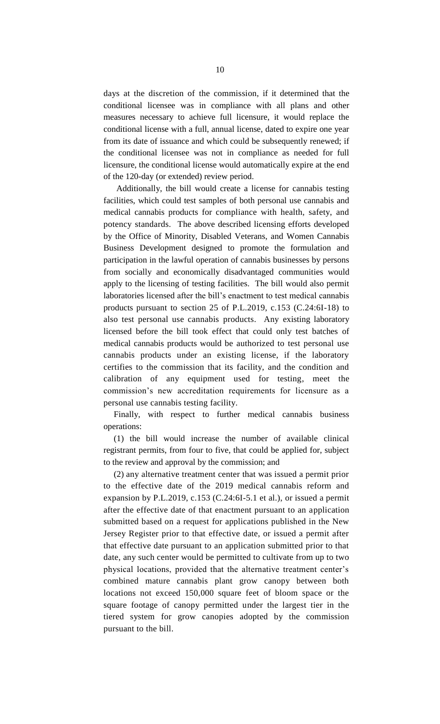days at the discretion of the commission, if it determined that the conditional licensee was in compliance with all plans and other measures necessary to achieve full licensure, it would replace the conditional license with a full, annual license, dated to expire one year from its date of issuance and which could be subsequently renewed; if the conditional licensee was not in compliance as needed for full licensure, the conditional license would automatically expire at the end of the 120-day (or extended) review period.

Additionally, the bill would create a license for cannabis testing facilities, which could test samples of both personal use cannabis and medical cannabis products for compliance with health, safety, and potency standards. The above described licensing efforts developed by the Office of Minority, Disabled Veterans, and Women Cannabis Business Development designed to promote the formulation and participation in the lawful operation of cannabis businesses by persons from socially and economically disadvantaged communities would apply to the licensing of testing facilities. The bill would also permit laboratories licensed after the bill's enactment to test medical cannabis products pursuant to section 25 of P.L.2019, c.153 (C.24:6I-18) to also test personal use cannabis products. Any existing laboratory licensed before the bill took effect that could only test batches of medical cannabis products would be authorized to test personal use cannabis products under an existing license, if the laboratory certifies to the commission that its facility, and the condition and calibration of any equipment used for testing, meet the commission's new accreditation requirements for licensure as a personal use cannabis testing facility.

Finally, with respect to further medical cannabis business operations:

(1) the bill would increase the number of available clinical registrant permits, from four to five, that could be applied for, subject to the review and approval by the commission; and

(2) any alternative treatment center that was issued a permit prior to the effective date of the 2019 medical cannabis reform and expansion by P.L.2019, c.153 (C.24:6I-5.1 et al.), or issued a permit after the effective date of that enactment pursuant to an application submitted based on a request for applications published in the New Jersey Register prior to that effective date, or issued a permit after that effective date pursuant to an application submitted prior to that date, any such center would be permitted to cultivate from up to two physical locations, provided that the alternative treatment center's combined mature cannabis plant grow canopy between both locations not exceed 150,000 square feet of bloom space or the square footage of canopy permitted under the largest tier in the tiered system for grow canopies adopted by the commission pursuant to the bill.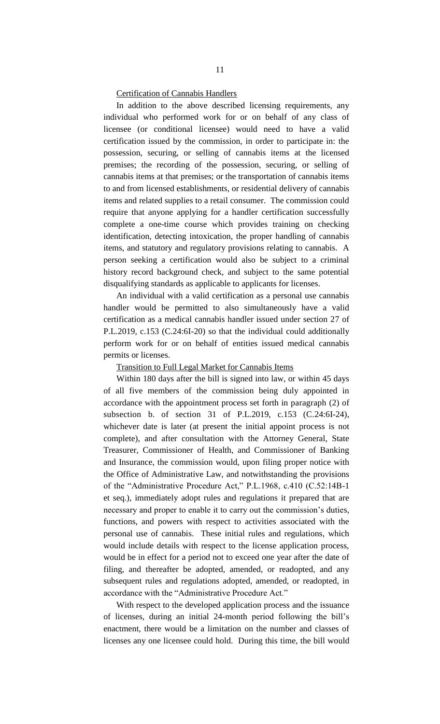#### Certification of Cannabis Handlers

In addition to the above described licensing requirements, any individual who performed work for or on behalf of any class of licensee (or conditional licensee) would need to have a valid certification issued by the commission, in order to participate in: the possession, securing, or selling of cannabis items at the licensed premises; the recording of the possession, securing, or selling of cannabis items at that premises; or the transportation of cannabis items to and from licensed establishments, or residential delivery of cannabis items and related supplies to a retail consumer. The commission could require that anyone applying for a handler certification successfully complete a one-time course which provides training on checking identification, detecting intoxication, the proper handling of cannabis items, and statutory and regulatory provisions relating to cannabis. A person seeking a certification would also be subject to a criminal history record background check, and subject to the same potential disqualifying standards as applicable to applicants for licenses.

An individual with a valid certification as a personal use cannabis handler would be permitted to also simultaneously have a valid certification as a medical cannabis handler issued under section 27 of P.L.2019, c.153 (C.24:6I-20) so that the individual could additionally perform work for or on behalf of entities issued medical cannabis permits or licenses.

#### Transition to Full Legal Market for Cannabis Items

Within 180 days after the bill is signed into law, or within 45 days of all five members of the commission being duly appointed in accordance with the appointment process set forth in paragraph (2) of subsection b. of section 31 of P.L.2019, c.153 (C.24:6I-24), whichever date is later (at present the initial appoint process is not complete), and after consultation with the Attorney General, State Treasurer, Commissioner of Health, and Commissioner of Banking and Insurance, the commission would, upon filing proper notice with the Office of Administrative Law, and notwithstanding the provisions of the "Administrative Procedure Act," P.L.1968, c.410 (C.52:14B-1 et seq.), immediately adopt rules and regulations it prepared that are necessary and proper to enable it to carry out the commission's duties, functions, and powers with respect to activities associated with the personal use of cannabis. These initial rules and regulations, which would include details with respect to the license application process, would be in effect for a period not to exceed one year after the date of filing, and thereafter be adopted, amended, or readopted, and any subsequent rules and regulations adopted, amended, or readopted, in accordance with the "Administrative Procedure Act."

With respect to the developed application process and the issuance of licenses, during an initial 24-month period following the bill's enactment, there would be a limitation on the number and classes of licenses any one licensee could hold. During this time, the bill would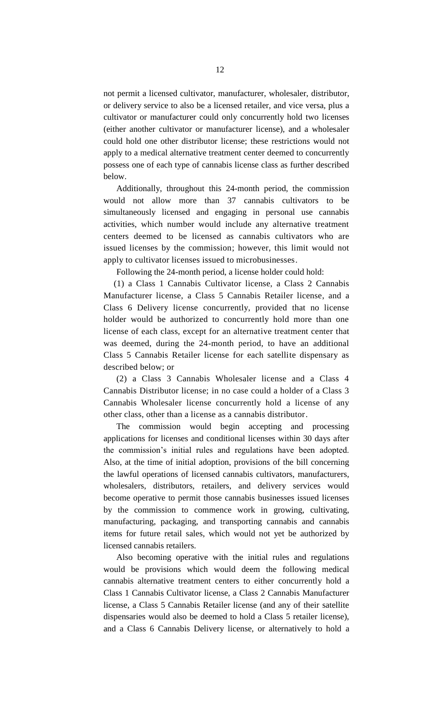not permit a licensed cultivator, manufacturer, wholesaler, distributor, or delivery service to also be a licensed retailer, and vice versa, plus a cultivator or manufacturer could only concurrently hold two licenses (either another cultivator or manufacturer license), and a wholesaler could hold one other distributor license; these restrictions would not apply to a medical alternative treatment center deemed to concurrently possess one of each type of cannabis license class as further described below.

Additionally, throughout this 24-month period, the commission would not allow more than 37 cannabis cultivators to be simultaneously licensed and engaging in personal use cannabis activities, which number would include any alternative treatment centers deemed to be licensed as cannabis cultivators who are issued licenses by the commission; however, this limit would not apply to cultivator licenses issued to microbusinesses.

Following the 24-month period, a license holder could hold:

(1) a Class 1 Cannabis Cultivator license, a Class 2 Cannabis Manufacturer license, a Class 5 Cannabis Retailer license, and a Class 6 Delivery license concurrently, provided that no license holder would be authorized to concurrently hold more than one license of each class, except for an alternative treatment center that was deemed, during the 24-month period, to have an additional Class 5 Cannabis Retailer license for each satellite dispensary as described below; or

(2) a Class 3 Cannabis Wholesaler license and a Class 4 Cannabis Distributor license; in no case could a holder of a Class 3 Cannabis Wholesaler license concurrently hold a license of any other class, other than a license as a cannabis distributor.

The commission would begin accepting and processing applications for licenses and conditional licenses within 30 days after the commission's initial rules and regulations have been adopted. Also, at the time of initial adoption, provisions of the bill concerning the lawful operations of licensed cannabis cultivators, manufacturers, wholesalers, distributors, retailers, and delivery services would become operative to permit those cannabis businesses issued licenses by the commission to commence work in growing, cultivating, manufacturing, packaging, and transporting cannabis and cannabis items for future retail sales, which would not yet be authorized by licensed cannabis retailers.

Also becoming operative with the initial rules and regulations would be provisions which would deem the following medical cannabis alternative treatment centers to either concurrently hold a Class 1 Cannabis Cultivator license, a Class 2 Cannabis Manufacturer license, a Class 5 Cannabis Retailer license (and any of their satellite dispensaries would also be deemed to hold a Class 5 retailer license), and a Class 6 Cannabis Delivery license, or alternatively to hold a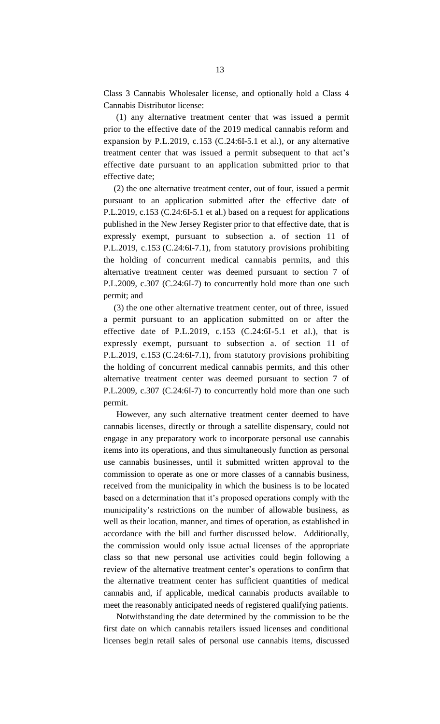Class 3 Cannabis Wholesaler license, and optionally hold a Class 4 Cannabis Distributor license:

(1) any alternative treatment center that was issued a permit prior to the effective date of the 2019 medical cannabis reform and expansion by P.L.2019, c.153 (C.24:6I-5.1 et al.), or any alternative treatment center that was issued a permit subsequent to that act's effective date pursuant to an application submitted prior to that effective date;

(2) the one alternative treatment center, out of four, issued a permit pursuant to an application submitted after the effective date of P.L.2019, c.153 (C.24:6I-5.1 et al.) based on a request for applications published in the New Jersey Register prior to that effective date, that is expressly exempt, pursuant to subsection a. of section 11 of P.L.2019, c.153 (C.24:6I-7.1), from statutory provisions prohibiting the holding of concurrent medical cannabis permits, and this alternative treatment center was deemed pursuant to section 7 of P.L.2009, c.307 (C.24:6I-7) to concurrently hold more than one such permit; and

(3) the one other alternative treatment center, out of three, issued a permit pursuant to an application submitted on or after the effective date of P.L.2019, c.153 (C.24:6I-5.1 et al.), that is expressly exempt, pursuant to subsection a. of section 11 of P.L.2019, c.153 (C.24:6I-7.1), from statutory provisions prohibiting the holding of concurrent medical cannabis permits, and this other alternative treatment center was deemed pursuant to section 7 of P.L.2009, c.307 (C.24:6I-7) to concurrently hold more than one such permit.

However, any such alternative treatment center deemed to have cannabis licenses, directly or through a satellite dispensary, could not engage in any preparatory work to incorporate personal use cannabis items into its operations, and thus simultaneously function as personal use cannabis businesses, until it submitted written approval to the commission to operate as one or more classes of a cannabis business, received from the municipality in which the business is to be located based on a determination that it's proposed operations comply with the municipality's restrictions on the number of allowable business, as well as their location, manner, and times of operation, as established in accordance with the bill and further discussed below. Additionally, the commission would only issue actual licenses of the appropriate class so that new personal use activities could begin following a review of the alternative treatment center's operations to confirm that the alternative treatment center has sufficient quantities of medical cannabis and, if applicable, medical cannabis products available to meet the reasonably anticipated needs of registered qualifying patients.

Notwithstanding the date determined by the commission to be the first date on which cannabis retailers issued licenses and conditional licenses begin retail sales of personal use cannabis items, discussed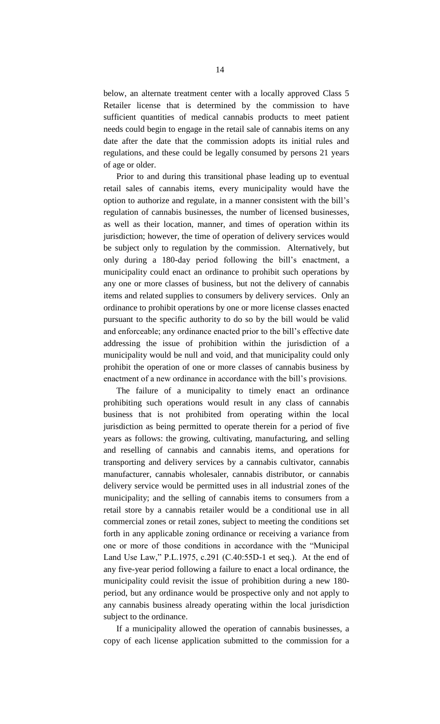below, an alternate treatment center with a locally approved Class 5 Retailer license that is determined by the commission to have sufficient quantities of medical cannabis products to meet patient needs could begin to engage in the retail sale of cannabis items on any date after the date that the commission adopts its initial rules and regulations, and these could be legally consumed by persons 21 years of age or older.

Prior to and during this transitional phase leading up to eventual retail sales of cannabis items, every municipality would have the option to authorize and regulate, in a manner consistent with the bill's regulation of cannabis businesses, the number of licensed businesses, as well as their location, manner, and times of operation within its jurisdiction; however, the time of operation of delivery services would be subject only to regulation by the commission. Alternatively, but only during a 180-day period following the bill's enactment, a municipality could enact an ordinance to prohibit such operations by any one or more classes of business, but not the delivery of cannabis items and related supplies to consumers by delivery services. Only an ordinance to prohibit operations by one or more license classes enacted pursuant to the specific authority to do so by the bill would be valid and enforceable; any ordinance enacted prior to the bill's effective date addressing the issue of prohibition within the jurisdiction of a municipality would be null and void, and that municipality could only prohibit the operation of one or more classes of cannabis business by enactment of a new ordinance in accordance with the bill's provisions.

The failure of a municipality to timely enact an ordinance prohibiting such operations would result in any class of cannabis business that is not prohibited from operating within the local jurisdiction as being permitted to operate therein for a period of five years as follows: the growing, cultivating, manufacturing, and selling and reselling of cannabis and cannabis items, and operations for transporting and delivery services by a cannabis cultivator, cannabis manufacturer, cannabis wholesaler, cannabis distributor, or cannabis delivery service would be permitted uses in all industrial zones of the municipality; and the selling of cannabis items to consumers from a retail store by a cannabis retailer would be a conditional use in all commercial zones or retail zones, subject to meeting the conditions set forth in any applicable zoning ordinance or receiving a variance from one or more of those conditions in accordance with the "Municipal Land Use Law," P.L.1975, c.291 (C.40:55D-1 et seq.). At the end of any five-year period following a failure to enact a local ordinance, the municipality could revisit the issue of prohibition during a new 180 period, but any ordinance would be prospective only and not apply to any cannabis business already operating within the local jurisdiction subject to the ordinance.

If a municipality allowed the operation of cannabis businesses, a copy of each license application submitted to the commission for a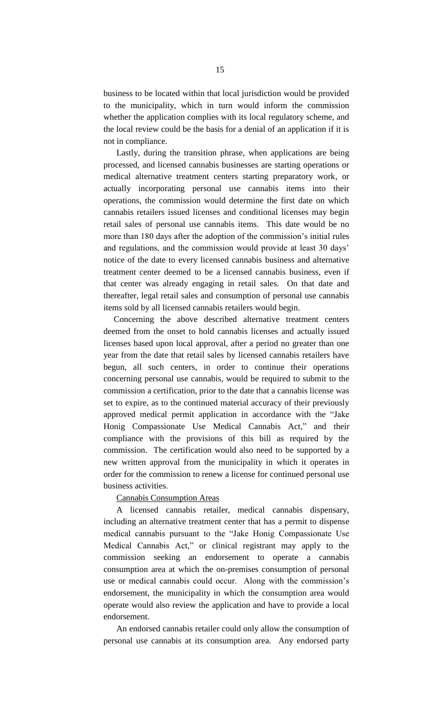business to be located within that local jurisdiction would be provided to the municipality, which in turn would inform the commission whether the application complies with its local regulatory scheme, and the local review could be the basis for a denial of an application if it is not in compliance.

Lastly, during the transition phrase, when applications are being processed, and licensed cannabis businesses are starting operations or medical alternative treatment centers starting preparatory work, or actually incorporating personal use cannabis items into their operations, the commission would determine the first date on which cannabis retailers issued licenses and conditional licenses may begin retail sales of personal use cannabis items. This date would be no more than 180 days after the adoption of the commission's initial rules and regulations, and the commission would provide at least 30 days' notice of the date to every licensed cannabis business and alternative treatment center deemed to be a licensed cannabis business, even if that center was already engaging in retail sales. On that date and thereafter, legal retail sales and consumption of personal use cannabis items sold by all licensed cannabis retailers would begin.

Concerning the above described alternative treatment centers deemed from the onset to hold cannabis licenses and actually issued licenses based upon local approval, after a period no greater than one year from the date that retail sales by licensed cannabis retailers have begun, all such centers, in order to continue their operations concerning personal use cannabis, would be required to submit to the commission a certification, prior to the date that a cannabis license was set to expire, as to the continued material accuracy of their previously approved medical permit application in accordance with the "Jake Honig Compassionate Use Medical Cannabis Act," and their compliance with the provisions of this bill as required by the commission. The certification would also need to be supported by a new written approval from the municipality in which it operates in order for the commission to renew a license for continued personal use business activities.

#### Cannabis Consumption Areas

A licensed cannabis retailer, medical cannabis dispensary, including an alternative treatment center that has a permit to dispense medical cannabis pursuant to the "Jake Honig Compassionate Use Medical Cannabis Act," or clinical registrant may apply to the commission seeking an endorsement to operate a cannabis consumption area at which the on-premises consumption of personal use or medical cannabis could occur. Along with the commission's endorsement, the municipality in which the consumption area would operate would also review the application and have to provide a local endorsement.

An endorsed cannabis retailer could only allow the consumption of personal use cannabis at its consumption area. Any endorsed party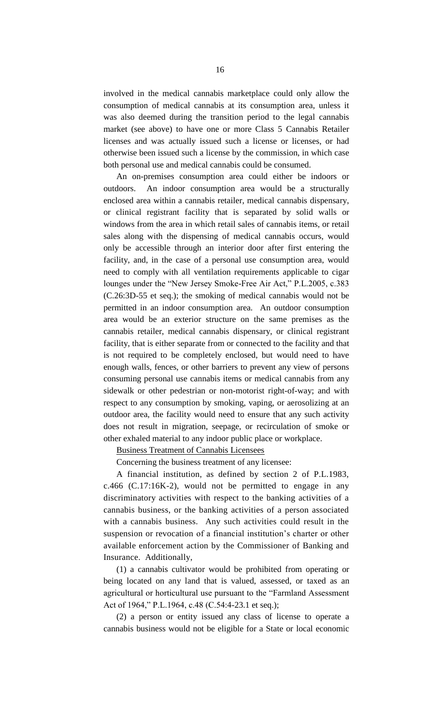involved in the medical cannabis marketplace could only allow the consumption of medical cannabis at its consumption area, unless it was also deemed during the transition period to the legal cannabis market (see above) to have one or more Class 5 Cannabis Retailer licenses and was actually issued such a license or licenses, or had otherwise been issued such a license by the commission, in which case both personal use and medical cannabis could be consumed.

An on-premises consumption area could either be indoors or outdoors. An indoor consumption area would be a structurally enclosed area within a cannabis retailer, medical cannabis dispensary, or clinical registrant facility that is separated by solid walls or windows from the area in which retail sales of cannabis items, or retail sales along with the dispensing of medical cannabis occurs, would only be accessible through an interior door after first entering the facility, and, in the case of a personal use consumption area, would need to comply with all ventilation requirements applicable to cigar lounges under the "New Jersey Smoke-Free Air Act," P.L.2005, c.383 (C.26:3D-55 et seq.); the smoking of medical cannabis would not be permitted in an indoor consumption area. An outdoor consumption area would be an exterior structure on the same premises as the cannabis retailer, medical cannabis dispensary, or clinical registrant facility, that is either separate from or connected to the facility and that is not required to be completely enclosed, but would need to have enough walls, fences, or other barriers to prevent any view of persons consuming personal use cannabis items or medical cannabis from any sidewalk or other pedestrian or non-motorist right-of-way; and with respect to any consumption by smoking, vaping, or aerosolizing at an outdoor area, the facility would need to ensure that any such activity does not result in migration, seepage, or recirculation of smoke or other exhaled material to any indoor public place or workplace.

Business Treatment of Cannabis Licensees

Concerning the business treatment of any licensee:

A financial institution, as defined by section 2 of P.L.1983, c.466 (C.17:16K-2), would not be permitted to engage in any discriminatory activities with respect to the banking activities of a cannabis business, or the banking activities of a person associated with a cannabis business. Any such activities could result in the suspension or revocation of a financial institution's charter or other available enforcement action by the Commissioner of Banking and Insurance. Additionally,

(1) a cannabis cultivator would be prohibited from operating or being located on any land that is valued, assessed, or taxed as an agricultural or horticultural use pursuant to the "Farmland Assessment Act of 1964," P.L.1964, c.48 (C.54:4-23.1 et seq.);

(2) a person or entity issued any class of license to operate a cannabis business would not be eligible for a State or local economic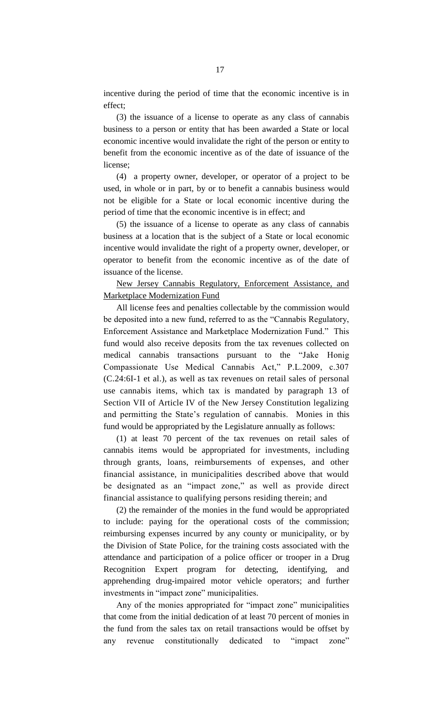incentive during the period of time that the economic incentive is in effect;

(3) the issuance of a license to operate as any class of cannabis business to a person or entity that has been awarded a State or local economic incentive would invalidate the right of the person or entity to benefit from the economic incentive as of the date of issuance of the license;

(4) a property owner, developer, or operator of a project to be used, in whole or in part, by or to benefit a cannabis business would not be eligible for a State or local economic incentive during the period of time that the economic incentive is in effect; and

(5) the issuance of a license to operate as any class of cannabis business at a location that is the subject of a State or local economic incentive would invalidate the right of a property owner, developer, or operator to benefit from the economic incentive as of the date of issuance of the license.

New Jersey Cannabis Regulatory, Enforcement Assistance, and Marketplace Modernization Fund

All license fees and penalties collectable by the commission would be deposited into a new fund, referred to as the "Cannabis Regulatory, Enforcement Assistance and Marketplace Modernization Fund." This fund would also receive deposits from the tax revenues collected on medical cannabis transactions pursuant to the "Jake Honig Compassionate Use Medical Cannabis Act," P.L.2009, c.307 (C.24:6I-1 et al.), as well as tax revenues on retail sales of personal use cannabis items, which tax is mandated by paragraph 13 of Section VII of Article IV of the New Jersey Constitution legalizing and permitting the State's regulation of cannabis. Monies in this fund would be appropriated by the Legislature annually as follows:

(1) at least 70 percent of the tax revenues on retail sales of cannabis items would be appropriated for investments, including through grants, loans, reimbursements of expenses, and other financial assistance, in municipalities described above that would be designated as an "impact zone," as well as provide direct financial assistance to qualifying persons residing therein; and

(2) the remainder of the monies in the fund would be appropriated to include: paying for the operational costs of the commission; reimbursing expenses incurred by any county or municipality, or by the Division of State Police, for the training costs associated with the attendance and participation of a police officer or trooper in a Drug Recognition Expert program for detecting, identifying, and apprehending drug-impaired motor vehicle operators; and further investments in "impact zone" municipalities.

Any of the monies appropriated for "impact zone" municipalities that come from the initial dedication of at least 70 percent of monies in the fund from the sales tax on retail transactions would be offset by any revenue constitutionally dedicated to "impact zone"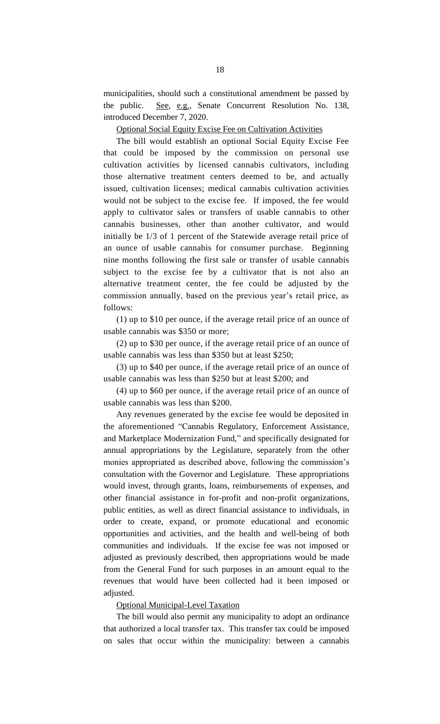municipalities, should such a constitutional amendment be passed by the public. See, e.g., Senate Concurrent Resolution No. 138, introduced December 7, 2020.

Optional Social Equity Excise Fee on Cultivation Activities

The bill would establish an optional Social Equity Excise Fee that could be imposed by the commission on personal use cultivation activities by licensed cannabis cultivators, including those alternative treatment centers deemed to be, and actually issued, cultivation licenses; medical cannabis cultivation activities would not be subject to the excise fee. If imposed, the fee would apply to cultivator sales or transfers of usable cannabis to other cannabis businesses, other than another cultivator, and would initially be 1/3 of 1 percent of the Statewide average retail price of an ounce of usable cannabis for consumer purchase. Beginning nine months following the first sale or transfer of usable cannabis subject to the excise fee by a cultivator that is not also an alternative treatment center, the fee could be adjusted by the commission annually, based on the previous year's retail price, as follows:

(1) up to \$10 per ounce, if the average retail price of an ounce of usable cannabis was \$350 or more;

(2) up to \$30 per ounce, if the average retail price of an ounce of usable cannabis was less than \$350 but at least \$250;

(3) up to \$40 per ounce, if the average retail price of an ounce of usable cannabis was less than \$250 but at least \$200; and

(4) up to \$60 per ounce, if the average retail price of an ounce of usable cannabis was less than \$200.

Any revenues generated by the excise fee would be deposited in the aforementioned "Cannabis Regulatory, Enforcement Assistance, and Marketplace Modernization Fund," and specifically designated for annual appropriations by the Legislature, separately from the other monies appropriated as described above, following the commission's consultation with the Governor and Legislature. These appropriations would invest, through grants, loans, reimbursements of expenses, and other financial assistance in for-profit and non-profit organizations, public entities, as well as direct financial assistance to individuals, in order to create, expand, or promote educational and economic opportunities and activities, and the health and well-being of both communities and individuals. If the excise fee was not imposed or adjusted as previously described, then appropriations would be made from the General Fund for such purposes in an amount equal to the revenues that would have been collected had it been imposed or adjusted.

Optional Municipal-Level Taxation

The bill would also permit any municipality to adopt an ordinance that authorized a local transfer tax. This transfer tax could be imposed on sales that occur within the municipality: between a cannabis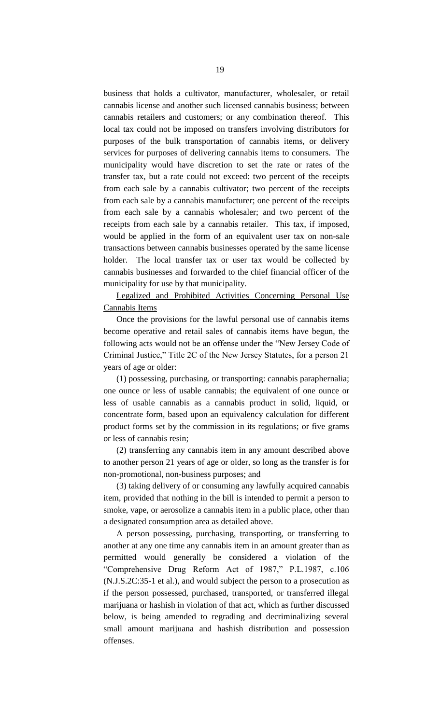business that holds a cultivator, manufacturer, wholesaler, or retail cannabis license and another such licensed cannabis business; between cannabis retailers and customers; or any combination thereof. This local tax could not be imposed on transfers involving distributors for purposes of the bulk transportation of cannabis items, or delivery services for purposes of delivering cannabis items to consumers. The municipality would have discretion to set the rate or rates of the transfer tax, but a rate could not exceed: two percent of the receipts from each sale by a cannabis cultivator; two percent of the receipts from each sale by a cannabis manufacturer; one percent of the receipts from each sale by a cannabis wholesaler; and two percent of the receipts from each sale by a cannabis retailer. This tax, if imposed, would be applied in the form of an equivalent user tax on non-sale transactions between cannabis businesses operated by the same license holder. The local transfer tax or user tax would be collected by cannabis businesses and forwarded to the chief financial officer of the municipality for use by that municipality.

Legalized and Prohibited Activities Concerning Personal Use Cannabis Items

Once the provisions for the lawful personal use of cannabis items become operative and retail sales of cannabis items have begun, the following acts would not be an offense under the "New Jersey Code of Criminal Justice," Title 2C of the New Jersey Statutes, for a person 21 years of age or older:

(1) possessing, purchasing, or transporting: cannabis paraphernalia; one ounce or less of usable cannabis; the equivalent of one ounce or less of usable cannabis as a cannabis product in solid, liquid, or concentrate form, based upon an equivalency calculation for different product forms set by the commission in its regulations; or five grams or less of cannabis resin;

(2) transferring any cannabis item in any amount described above to another person 21 years of age or older, so long as the transfer is for non-promotional, non-business purposes; and

(3) taking delivery of or consuming any lawfully acquired cannabis item, provided that nothing in the bill is intended to permit a person to smoke, vape, or aerosolize a cannabis item in a public place, other than a designated consumption area as detailed above.

A person possessing, purchasing, transporting, or transferring to another at any one time any cannabis item in an amount greater than as permitted would generally be considered a violation of the "Comprehensive Drug Reform Act of 1987," P.L.1987, c.106 (N.J.S.2C:35-1 et al.), and would subject the person to a prosecution as if the person possessed, purchased, transported, or transferred illegal marijuana or hashish in violation of that act, which as further discussed below, is being amended to regrading and decriminalizing several small amount marijuana and hashish distribution and possession offenses.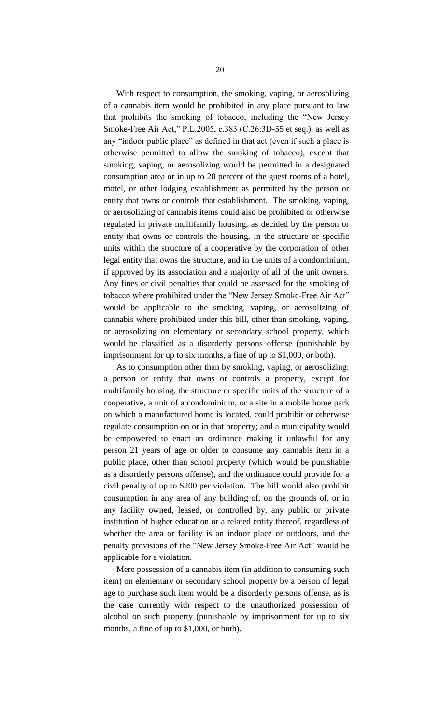With respect to consumption, the smoking, vaping, or aerosolizing of a cannabis item would be prohibited in any place pursuant to law that prohibits the smoking of tobacco, including the "New Jersey Smoke-Free Air Act," P.L.2005, c.383 (C.26:3D-55 et seq.), as well as any "indoor public place" as defined in that act (even if such a place is otherwise permitted to allow the smoking of tobacco), except that smoking, vaping, or aerosolizing would be permitted in a designated consumption area or in up to 20 percent of the guest rooms of a hotel, motel, or other lodging establishment as permitted by the person or entity that owns or controls that establishment. The smoking, vaping, or aerosolizing of cannabis items could also be prohibited or otherwise regulated in private multifamily housing, as decided by the person or entity that owns or controls the housing, in the structure or specific units within the structure of a cooperative by the corporation of other legal entity that owns the structure, and in the units of a condominium, if approved by its association and a majority of all of the unit owners. Any fines or civil penalties that could be assessed for the smoking of tobacco where prohibited under the "New Jersey Smoke-Free Air Act" would be applicable to the smoking, vaping, or aerosolizing of cannabis where prohibited under this bill, other than smoking, vaping, or aerosolizing on elementary or secondary school property, which would be classified as a disorderly persons offense (punishable by imprisonment for up to six months, a fine of up to \$1,000, or both).

As to consumption other than by smoking, vaping, or aerosolizing: a person or entity that owns or controls a property, except for multifamily housing, the structure or specific units of the structure of a cooperative, a unit of a condominium, or a site in a mobile home park on which a manufactured home is located, could prohibit or otherwise regulate consumption on or in that property; and a municipality would be empowered to enact an ordinance making it unlawful for any person 21 years of age or older to consume any cannabis item in a public place, other than school property (which would be punishable as a disorderly persons offense), and the ordinance could provide for a civil penalty of up to \$200 per violation. The bill would also prohibit consumption in any area of any building of, on the grounds of, or in any facility owned, leased, or controlled by, any public or private institution of higher education or a related entity thereof, regardless of whether the area or facility is an indoor place or outdoors, and the penalty provisions of the "New Jersey Smoke-Free Air Act" would be applicable for a violation.

Mere possession of a cannabis item (in addition to consuming such item) on elementary or secondary school property by a person of legal age to purchase such item would be a disorderly persons offense, as is the case currently with respect to the unauthorized possession of alcohol on such property (punishable by imprisonment for up to six months, a fine of up to \$1,000, or both).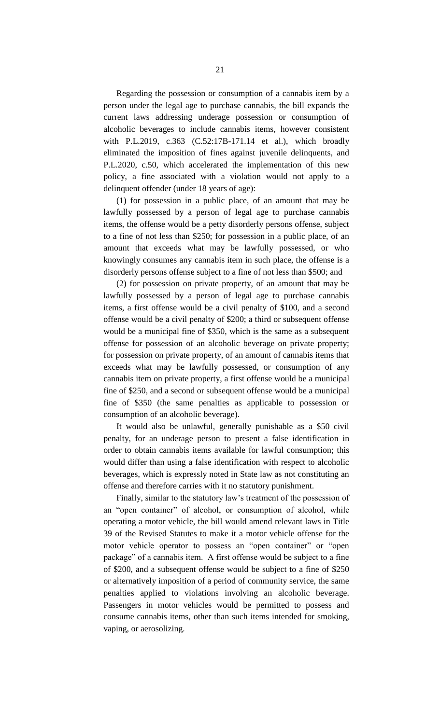Regarding the possession or consumption of a cannabis item by a person under the legal age to purchase cannabis, the bill expands the current laws addressing underage possession or consumption of alcoholic beverages to include cannabis items, however consistent with P.L.2019, c.363 (C.52:17B-171.14 et al.), which broadly eliminated the imposition of fines against juvenile delinquents, and P.L.2020, c.50, which accelerated the implementation of this new policy, a fine associated with a violation would not apply to a delinquent offender (under 18 years of age):

(1) for possession in a public place, of an amount that may be lawfully possessed by a person of legal age to purchase cannabis items, the offense would be a petty disorderly persons offense, subject to a fine of not less than \$250; for possession in a public place, of an amount that exceeds what may be lawfully possessed, or who knowingly consumes any cannabis item in such place, the offense is a disorderly persons offense subject to a fine of not less than \$500; and

(2) for possession on private property, of an amount that may be lawfully possessed by a person of legal age to purchase cannabis items, a first offense would be a civil penalty of \$100, and a second offense would be a civil penalty of \$200; a third or subsequent offense would be a municipal fine of \$350, which is the same as a subsequent offense for possession of an alcoholic beverage on private property; for possession on private property, of an amount of cannabis items that exceeds what may be lawfully possessed, or consumption of any cannabis item on private property, a first offense would be a municipal fine of \$250, and a second or subsequent offense would be a municipal fine of \$350 (the same penalties as applicable to possession or consumption of an alcoholic beverage).

It would also be unlawful, generally punishable as a \$50 civil penalty, for an underage person to present a false identification in order to obtain cannabis items available for lawful consumption; this would differ than using a false identification with respect to alcoholic beverages, which is expressly noted in State law as not constituting an offense and therefore carries with it no statutory punishment.

Finally, similar to the statutory law's treatment of the possession of an "open container" of alcohol, or consumption of alcohol, while operating a motor vehicle, the bill would amend relevant laws in Title 39 of the Revised Statutes to make it a motor vehicle offense for the motor vehicle operator to possess an "open container" or "open package" of a cannabis item. A first offense would be subject to a fine of \$200, and a subsequent offense would be subject to a fine of \$250 or alternatively imposition of a period of community service, the same penalties applied to violations involving an alcoholic beverage. Passengers in motor vehicles would be permitted to possess and consume cannabis items, other than such items intended for smoking, vaping, or aerosolizing.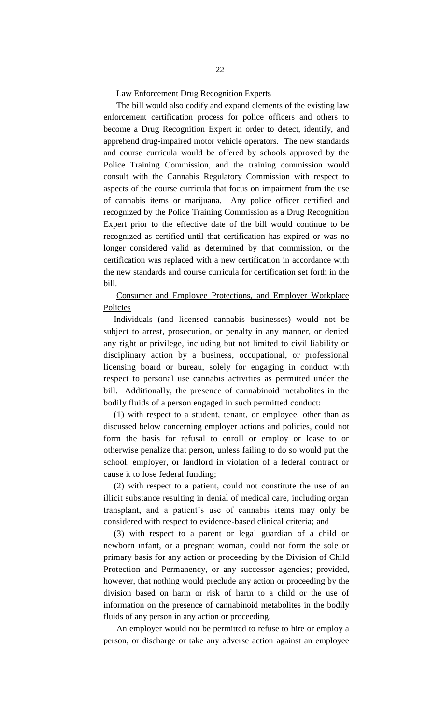Law Enforcement Drug Recognition Experts

The bill would also codify and expand elements of the existing law enforcement certification process for police officers and others to become a Drug Recognition Expert in order to detect, identify, and apprehend drug-impaired motor vehicle operators. The new standards and course curricula would be offered by schools approved by the Police Training Commission, and the training commission would consult with the Cannabis Regulatory Commission with respect to aspects of the course curricula that focus on impairment from the use of cannabis items or marijuana. Any police officer certified and recognized by the Police Training Commission as a Drug Recognition Expert prior to the effective date of the bill would continue to be recognized as certified until that certification has expired or was no longer considered valid as determined by that commission, or the certification was replaced with a new certification in accordance with the new standards and course curricula for certification set forth in the bill.

Consumer and Employee Protections, and Employer Workplace Policies

Individuals (and licensed cannabis businesses) would not be subject to arrest, prosecution, or penalty in any manner, or denied any right or privilege, including but not limited to civil liability or disciplinary action by a business, occupational, or professional licensing board or bureau, solely for engaging in conduct with respect to personal use cannabis activities as permitted under the bill. Additionally, the presence of cannabinoid metabolites in the bodily fluids of a person engaged in such permitted conduct:

(1) with respect to a student, tenant, or employee, other than as discussed below concerning employer actions and policies, could not form the basis for refusal to enroll or employ or lease to or otherwise penalize that person, unless failing to do so would put the school, employer, or landlord in violation of a federal contract or cause it to lose federal funding;

(2) with respect to a patient, could not constitute the use of an illicit substance resulting in denial of medical care, including organ transplant, and a patient's use of cannabis items may only be considered with respect to evidence-based clinical criteria; and

(3) with respect to a parent or legal guardian of a child or newborn infant, or a pregnant woman, could not form the sole or primary basis for any action or proceeding by the Division of Child Protection and Permanency, or any successor agencies; provided, however, that nothing would preclude any action or proceeding by the division based on harm or risk of harm to a child or the use of information on the presence of cannabinoid metabolites in the bodily fluids of any person in any action or proceeding.

An employer would not be permitted to refuse to hire or employ a person, or discharge or take any adverse action against an employee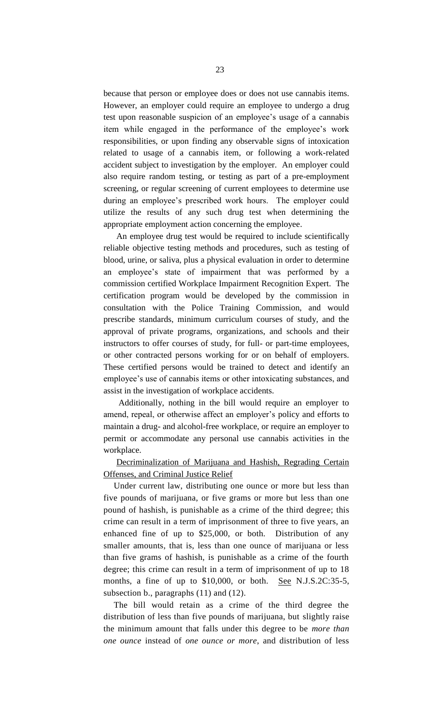because that person or employee does or does not use cannabis items. However, an employer could require an employee to undergo a drug test upon reasonable suspicion of an employee's usage of a cannabis item while engaged in the performance of the employee's work responsibilities, or upon finding any observable signs of intoxication related to usage of a cannabis item, or following a work-related accident subject to investigation by the employer. An employer could also require random testing, or testing as part of a pre-employment screening, or regular screening of current employees to determine use during an employee's prescribed work hours. The employer could utilize the results of any such drug test when determining the appropriate employment action concerning the employee.

An employee drug test would be required to include scientifically reliable objective testing methods and procedures, such as testing of blood, urine, or saliva, plus a physical evaluation in order to determine an employee's state of impairment that was performed by a commission certified Workplace Impairment Recognition Expert. The certification program would be developed by the commission in consultation with the Police Training Commission, and would prescribe standards, minimum curriculum courses of study, and the approval of private programs, organizations, and schools and their instructors to offer courses of study, for full- or part-time employees, or other contracted persons working for or on behalf of employers. These certified persons would be trained to detect and identify an employee's use of cannabis items or other intoxicating substances, and assist in the investigation of workplace accidents.

Additionally, nothing in the bill would require an employer to amend, repeal, or otherwise affect an employer's policy and efforts to maintain a drug- and alcohol-free workplace, or require an employer to permit or accommodate any personal use cannabis activities in the workplace.

Decriminalization of Marijuana and Hashish, Regrading Certain Offenses, and Criminal Justice Relief

Under current law, distributing one ounce or more but less than five pounds of marijuana, or five grams or more but less than one pound of hashish, is punishable as a crime of the third degree; this crime can result in a term of imprisonment of three to five years, an enhanced fine of up to \$25,000, or both. Distribution of any smaller amounts, that is, less than one ounce of marijuana or less than five grams of hashish, is punishable as a crime of the fourth degree; this crime can result in a term of imprisonment of up to 18 months, a fine of up to \$10,000, or both. See N.J.S.2C:35-5, subsection b., paragraphs  $(11)$  and  $(12)$ .

The bill would retain as a crime of the third degree the distribution of less than five pounds of marijuana, but slightly raise the minimum amount that falls under this degree to be *more than one ounce* instead of *one ounce or more*, and distribution of less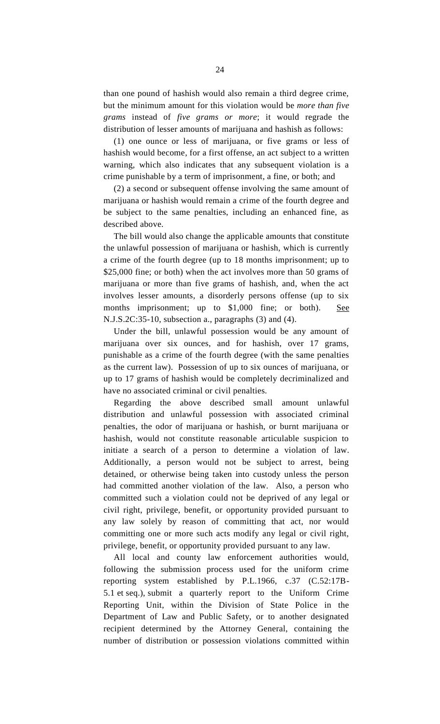than one pound of hashish would also remain a third degree crime, but the minimum amount for this violation would be *more than five grams* instead of *five grams or more*; it would regrade the distribution of lesser amounts of marijuana and hashish as follows:

(1) one ounce or less of marijuana, or five grams or less of hashish would become, for a first offense, an act subject to a written warning, which also indicates that any subsequent violation is a crime punishable by a term of imprisonment, a fine, or both; and

(2) a second or subsequent offense involving the same amount of marijuana or hashish would remain a crime of the fourth degree and be subject to the same penalties, including an enhanced fine, as described above.

The bill would also change the applicable amounts that constitute the unlawful possession of marijuana or hashish, which is currently a crime of the fourth degree (up to 18 months imprisonment; up to \$25,000 fine; or both) when the act involves more than 50 grams of marijuana or more than five grams of hashish, and, when the act involves lesser amounts, a disorderly persons offense (up to six months imprisonment; up to \$1,000 fine; or both). See N.J.S.2C:35-10, subsection a., paragraphs (3) and (4).

Under the bill, unlawful possession would be any amount of marijuana over six ounces, and for hashish, over 17 grams, punishable as a crime of the fourth degree (with the same penalties as the current law). Possession of up to six ounces of marijuana, or up to 17 grams of hashish would be completely decriminalized and have no associated criminal or civil penalties.

Regarding the above described small amount unlawful distribution and unlawful possession with associated criminal penalties, the odor of marijuana or hashish, or burnt marijuana or hashish, would not constitute reasonable articulable suspicion to initiate a search of a person to determine a violation of law. Additionally, a person would not be subject to arrest, being detained, or otherwise being taken into custody unless the person had committed another violation of the law. Also, a person who committed such a violation could not be deprived of any legal or civil right, privilege, benefit, or opportunity provided pursuant to any law solely by reason of committing that act, nor would committing one or more such acts modify any legal or civil right, privilege, benefit, or opportunity provided pursuant to any law.

All local and county law enforcement authorities would, following the submission process used for the uniform crime reporting system established by P.L.1966, c.37 (C.52:17B-5.1 et seq.), submit a quarterly report to the Uniform Crime Reporting Unit, within the Division of State Police in the Department of Law and Public Safety, or to another designated recipient determined by the Attorney General, containing the number of distribution or possession violations committed within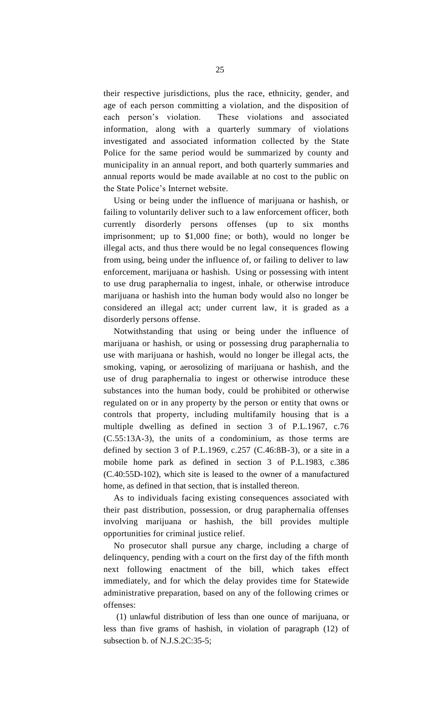their respective jurisdictions, plus the race, ethnicity, gender, and age of each person committing a violation, and the disposition of each person's violation. These violations and associated information, along with a quarterly summary of violations investigated and associated information collected by the State Police for the same period would be summarized by county and municipality in an annual report, and both quarterly summaries and annual reports would be made available at no cost to the public on the State Police's Internet website.

Using or being under the influence of marijuana or hashish, or failing to voluntarily deliver such to a law enforcement officer, both currently disorderly persons offenses (up to six months imprisonment; up to \$1,000 fine; or both), would no longer be illegal acts, and thus there would be no legal consequences flowing from using, being under the influence of, or failing to deliver to law enforcement, marijuana or hashish. Using or possessing with intent to use drug paraphernalia to ingest, inhale, or otherwise introduce marijuana or hashish into the human body would also no longer be considered an illegal act; under current law, it is graded as a disorderly persons offense.

Notwithstanding that using or being under the influence of marijuana or hashish, or using or possessing drug paraphernalia to use with marijuana or hashish, would no longer be illegal acts, the smoking, vaping, or aerosolizing of marijuana or hashish, and the use of drug paraphernalia to ingest or otherwise introduce these substances into the human body, could be prohibited or otherwise regulated on or in any property by the person or entity that owns or controls that property, including multifamily housing that is a multiple dwelling as defined in section 3 of P.L.1967, c.76 (C.55:13A-3), the units of a condominium, as those terms are defined by section 3 of P.L.1969, c.257 (C.46:8B-3), or a site in a mobile home park as defined in section 3 of P.L.1983, c.386 (C.40:55D-102), which site is leased to the owner of a manufactured home, as defined in that section, that is installed thereon.

As to individuals facing existing consequences associated with their past distribution, possession, or drug paraphernalia offenses involving marijuana or hashish, the bill provides multiple opportunities for criminal justice relief.

No prosecutor shall pursue any charge, including a charge of delinquency, pending with a court on the first day of the fifth month next following enactment of the bill, which takes effect immediately, and for which the delay provides time for Statewide administrative preparation, based on any of the following crimes or offenses:

(1) unlawful distribution of less than one ounce of marijuana, or less than five grams of hashish, in violation of paragraph (12) of subsection b. of N.J.S.2C:35-5;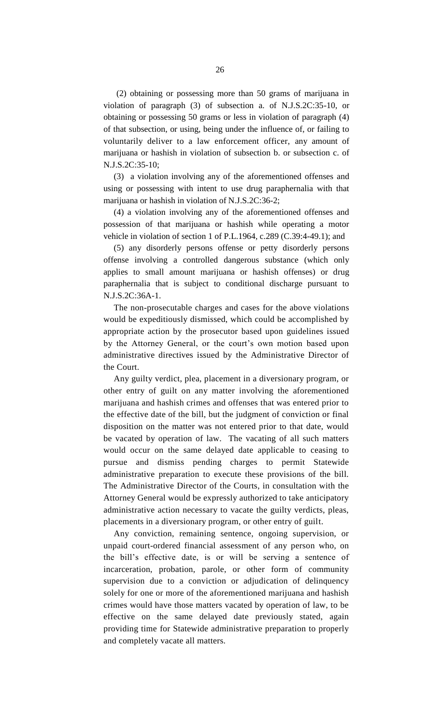(2) obtaining or possessing more than 50 grams of marijuana in violation of paragraph (3) of subsection a. of N.J.S.2C:35-10, or obtaining or possessing 50 grams or less in violation of paragraph (4) of that subsection, or using, being under the influence of, or failing to voluntarily deliver to a law enforcement officer, any amount of marijuana or hashish in violation of subsection b. or subsection c. of N.J.S.2C:35-10;

(3) a violation involving any of the aforementioned offenses and using or possessing with intent to use drug paraphernalia with that marijuana or hashish in violation of N.J.S.2C:36-2;

(4) a violation involving any of the aforementioned offenses and possession of that marijuana or hashish while operating a motor vehicle in violation of section 1 of P.L.1964, c.289 (C.39:4-49.1); and

(5) any disorderly persons offense or petty disorderly persons offense involving a controlled dangerous substance (which only applies to small amount marijuana or hashish offenses) or drug paraphernalia that is subject to conditional discharge pursuant to N.J.S.2C:36A-1.

The non-prosecutable charges and cases for the above violations would be expeditiously dismissed, which could be accomplished by appropriate action by the prosecutor based upon guidelines issued by the Attorney General, or the court's own motion based upon administrative directives issued by the Administrative Director of the Court.

Any guilty verdict, plea, placement in a diversionary program, or other entry of guilt on any matter involving the aforementioned marijuana and hashish crimes and offenses that was entered prior to the effective date of the bill, but the judgment of conviction or final disposition on the matter was not entered prior to that date, would be vacated by operation of law. The vacating of all such matters would occur on the same delayed date applicable to ceasing to pursue and dismiss pending charges to permit Statewide administrative preparation to execute these provisions of the bill. The Administrative Director of the Courts, in consultation with the Attorney General would be expressly authorized to take anticipatory administrative action necessary to vacate the guilty verdicts, pleas, placements in a diversionary program, or other entry of guilt.

Any conviction, remaining sentence, ongoing supervision, or unpaid court-ordered financial assessment of any person who, on the bill's effective date, is or will be serving a sentence of incarceration, probation, parole, or other form of community supervision due to a conviction or adjudication of delinquency solely for one or more of the aforementioned marijuana and hashish crimes would have those matters vacated by operation of law, to be effective on the same delayed date previously stated, again providing time for Statewide administrative preparation to properly and completely vacate all matters.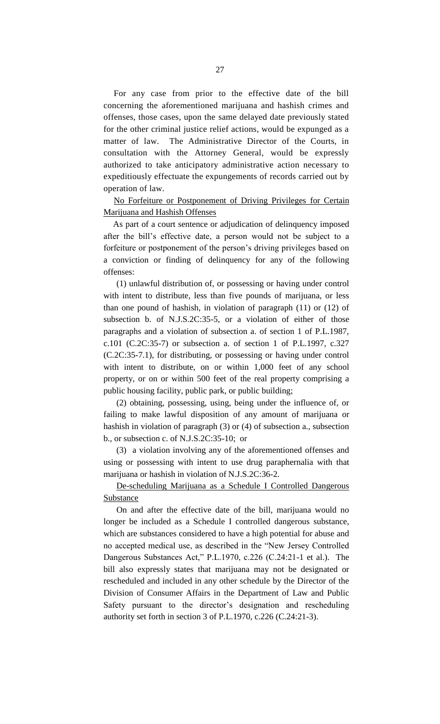For any case from prior to the effective date of the bill concerning the aforementioned marijuana and hashish crimes and offenses, those cases, upon the same delayed date previously stated for the other criminal justice relief actions, would be expunged as a matter of law. The Administrative Director of the Courts, in consultation with the Attorney General, would be expressly authorized to take anticipatory administrative action necessary to expeditiously effectuate the expungements of records carried out by operation of law.

No Forfeiture or Postponement of Driving Privileges for Certain Marijuana and Hashish Offenses

As part of a court sentence or adjudication of delinquency imposed after the bill's effective date, a person would not be subject to a forfeiture or postponement of the person's driving privileges based on a conviction or finding of delinquency for any of the following offenses:

(1) unlawful distribution of, or possessing or having under control with intent to distribute, less than five pounds of marijuana, or less than one pound of hashish, in violation of paragraph (11) or (12) of subsection b. of N.J.S.2C:35-5, or a violation of either of those paragraphs and a violation of subsection a. of section 1 of P.L.1987, c.101 (C.2C:35-7) or subsection a. of section 1 of P.L.1997, c.327 (C.2C:35-7.1), for distributing, or possessing or having under control with intent to distribute, on or within 1,000 feet of any school property, or on or within 500 feet of the real property comprising a public housing facility, public park, or public building;

(2) obtaining, possessing, using, being under the influence of, or failing to make lawful disposition of any amount of marijuana or hashish in violation of paragraph (3) or (4) of subsection a., subsection b., or subsection c. of N.J.S.2C:35-10; or

(3) a violation involving any of the aforementioned offenses and using or possessing with intent to use drug paraphernalia with that marijuana or hashish in violation of N.J.S.2C:36-2.

De-scheduling Marijuana as a Schedule I Controlled Dangerous Substance

On and after the effective date of the bill, marijuana would no longer be included as a Schedule I controlled dangerous substance, which are substances considered to have a high potential for abuse and no accepted medical use, as described in the "New Jersey Controlled Dangerous Substances Act," P.L.1970, c.226 (C.24:21-1 et al.). The bill also expressly states that marijuana may not be designated or rescheduled and included in any other schedule by the Director of the Division of Consumer Affairs in the Department of Law and Public Safety pursuant to the director's designation and rescheduling authority set forth in section 3 of P.L.1970, c.226 (C.24:21-3).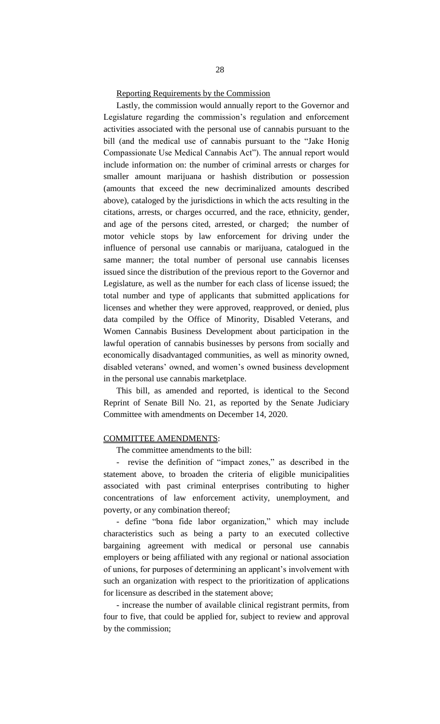#### Reporting Requirements by the Commission

Lastly, the commission would annually report to the Governor and Legislature regarding the commission's regulation and enforcement activities associated with the personal use of cannabis pursuant to the bill (and the medical use of cannabis pursuant to the "Jake Honig Compassionate Use Medical Cannabis Act"). The annual report would include information on: the number of criminal arrests or charges for smaller amount marijuana or hashish distribution or possession (amounts that exceed the new decriminalized amounts described above), cataloged by the jurisdictions in which the acts resulting in the citations, arrests, or charges occurred, and the race, ethnicity, gender, and age of the persons cited, arrested, or charged; the number of motor vehicle stops by law enforcement for driving under the influence of personal use cannabis or marijuana, catalogued in the same manner; the total number of personal use cannabis licenses issued since the distribution of the previous report to the Governor and Legislature, as well as the number for each class of license issued; the total number and type of applicants that submitted applications for licenses and whether they were approved, reapproved, or denied, plus data compiled by the Office of Minority, Disabled Veterans, and Women Cannabis Business Development about participation in the lawful operation of cannabis businesses by persons from socially and economically disadvantaged communities, as well as minority owned, disabled veterans' owned, and women's owned business development in the personal use cannabis marketplace.

This bill, as amended and reported, is identical to the Second Reprint of Senate Bill No. 21, as reported by the Senate Judiciary Committee with amendments on December 14, 2020.

#### COMMITTEE AMENDMENTS:

The committee amendments to the bill:

revise the definition of "impact zones," as described in the statement above, to broaden the criteria of eligible municipalities associated with past criminal enterprises contributing to higher concentrations of law enforcement activity, unemployment, and poverty, or any combination thereof;

- define "bona fide labor organization," which may include characteristics such as being a party to an executed collective bargaining agreement with medical or personal use cannabis employers or being affiliated with any regional or national association of unions, for purposes of determining an applicant's involvement with such an organization with respect to the prioritization of applications for licensure as described in the statement above;

- increase the number of available clinical registrant permits, from four to five, that could be applied for, subject to review and approval by the commission;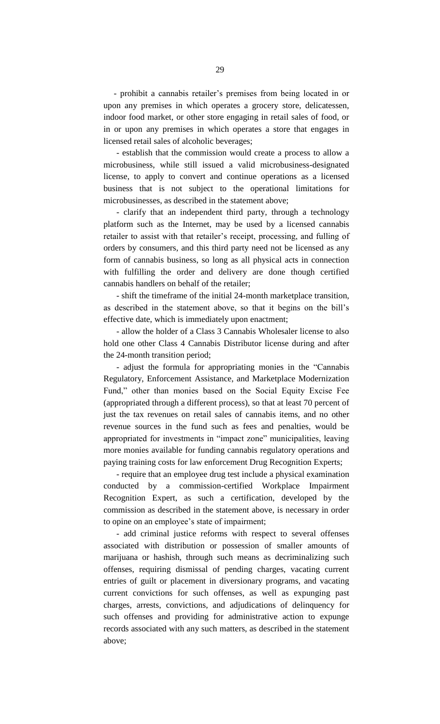- prohibit a cannabis retailer's premises from being located in or upon any premises in which operates a grocery store, delicatessen, indoor food market, or other store engaging in retail sales of food, or in or upon any premises in which operates a store that engages in licensed retail sales of alcoholic beverages;

- establish that the commission would create a process to allow a microbusiness, while still issued a valid microbusiness-designated license, to apply to convert and continue operations as a licensed business that is not subject to the operational limitations for microbusinesses, as described in the statement above;

- clarify that an independent third party, through a technology platform such as the Internet, may be used by a licensed cannabis retailer to assist with that retailer's receipt, processing, and fulling of orders by consumers, and this third party need not be licensed as any form of cannabis business, so long as all physical acts in connection with fulfilling the order and delivery are done though certified cannabis handlers on behalf of the retailer;

- shift the timeframe of the initial 24-month marketplace transition, as described in the statement above, so that it begins on the bill's effective date, which is immediately upon enactment;

- allow the holder of a Class 3 Cannabis Wholesaler license to also hold one other Class 4 Cannabis Distributor license during and after the 24-month transition period;

- adjust the formula for appropriating monies in the "Cannabis Regulatory, Enforcement Assistance, and Marketplace Modernization Fund," other than monies based on the Social Equity Excise Fee (appropriated through a different process), so that at least 70 percent of just the tax revenues on retail sales of cannabis items, and no other revenue sources in the fund such as fees and penalties, would be appropriated for investments in "impact zone" municipalities, leaving more monies available for funding cannabis regulatory operations and paying training costs for law enforcement Drug Recognition Experts;

- require that an employee drug test include a physical examination conducted by a commission-certified Workplace Impairment Recognition Expert, as such a certification, developed by the commission as described in the statement above, is necessary in order to opine on an employee's state of impairment;

- add criminal justice reforms with respect to several offenses associated with distribution or possession of smaller amounts of marijuana or hashish, through such means as decriminalizing such offenses, requiring dismissal of pending charges, vacating current entries of guilt or placement in diversionary programs, and vacating current convictions for such offenses, as well as expunging past charges, arrests, convictions, and adjudications of delinquency for such offenses and providing for administrative action to expunge records associated with any such matters, as described in the statement above;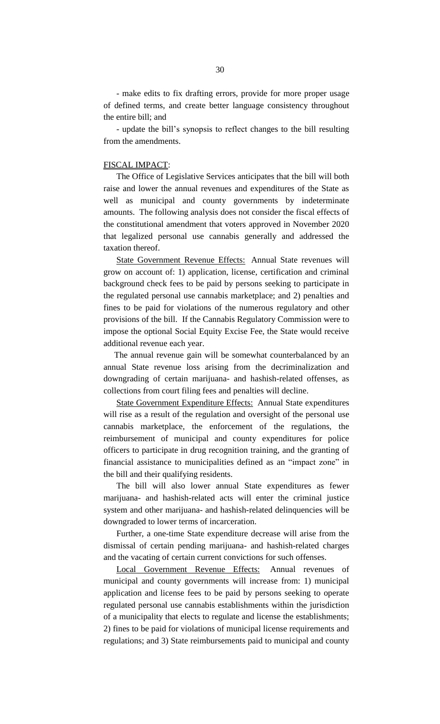- make edits to fix drafting errors, provide for more proper usage of defined terms, and create better language consistency throughout the entire bill; and

- update the bill's synopsis to reflect changes to the bill resulting from the amendments.

#### FISCAL IMPACT:

The Office of Legislative Services anticipates that the bill will both raise and lower the annual revenues and expenditures of the State as well as municipal and county governments by indeterminate amounts. The following analysis does not consider the fiscal effects of the constitutional amendment that voters approved in November 2020 that legalized personal use cannabis generally and addressed the taxation thereof.

State Government Revenue Effects: Annual State revenues will grow on account of: 1) application, license, certification and criminal background check fees to be paid by persons seeking to participate in the regulated personal use cannabis marketplace; and 2) penalties and fines to be paid for violations of the numerous regulatory and other provisions of the bill. If the Cannabis Regulatory Commission were to impose the optional Social Equity Excise Fee, the State would receive additional revenue each year.

 The annual revenue gain will be somewhat counterbalanced by an annual State revenue loss arising from the decriminalization and downgrading of certain marijuana- and hashish-related offenses, as collections from court filing fees and penalties will decline.

State Government Expenditure Effects: Annual State expenditures will rise as a result of the regulation and oversight of the personal use cannabis marketplace, the enforcement of the regulations, the reimbursement of municipal and county expenditures for police officers to participate in drug recognition training, and the granting of financial assistance to municipalities defined as an "impact zone" in the bill and their qualifying residents.

The bill will also lower annual State expenditures as fewer marijuana- and hashish-related acts will enter the criminal justice system and other marijuana- and hashish-related delinquencies will be downgraded to lower terms of incarceration.

Further, a one-time State expenditure decrease will arise from the dismissal of certain pending marijuana- and hashish-related charges and the vacating of certain current convictions for such offenses.

Local Government Revenue Effects: Annual revenues of municipal and county governments will increase from: 1) municipal application and license fees to be paid by persons seeking to operate regulated personal use cannabis establishments within the jurisdiction of a municipality that elects to regulate and license the establishments; 2) fines to be paid for violations of municipal license requirements and regulations; and 3) State reimbursements paid to municipal and county